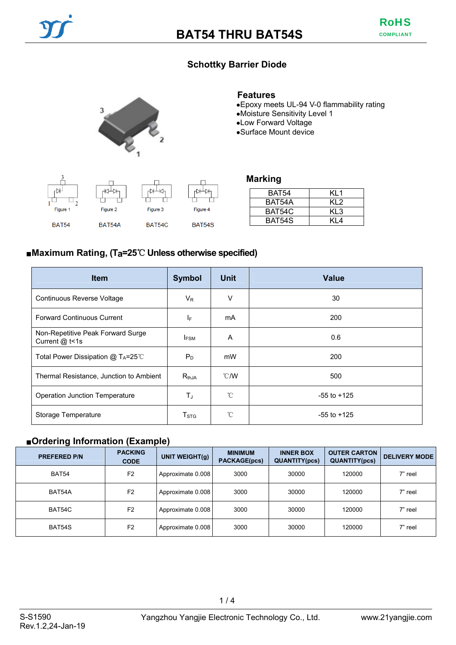## **Schottky Barrier Diode**



#### **Features**

- ●Epoxy meets UL-94 V-0 flammability rating
- ●Moisture Sensitivity Level 1
- ●Low Forward Voltage
- ●Surface Mount device



| KL1  |
|------|
| KI 2 |
| KL3  |
| KI 4 |
|      |

### ■**Maximum Rating, (Ta=25**℃ **Unless otherwise specified)**

| <b>Item</b>                                         | <b>Symbol</b>      | <b>Unit</b> | <b>Value</b>    |
|-----------------------------------------------------|--------------------|-------------|-----------------|
| Continuous Reverse Voltage                          | $V_{R}$            | V           | 30              |
| <b>Forward Continuous Current</b>                   | ΙF                 | mA          | 200             |
| Non-Repetitive Peak Forward Surge<br>Current @ t<1s | <b>IFSM</b>        | A           | 0.6             |
| Total Power Dissipation @ $T_A = 25^{\circ}$        | $P_D$              | mW          | 200             |
| Thermal Resistance, Junction to Ambient             | $R_{thJA}$         | °C/W        | 500             |
| <b>Operation Junction Temperature</b>               | TJ                 | °C          | $-55$ to $+125$ |
| Storage Temperature                                 | $T_{\mathtt{STG}}$ | °C          | $-55$ to $+125$ |

### ■**Ordering Information (Example)**

| <b>PREFERED P/N</b> | <b>PACKING</b><br><b>CODE</b> | UNIT WEIGHT(g)    | <b>MINIMUM</b><br><b>PACKAGE(pcs)</b> | <b>INNER BOX</b><br><b>QUANTITY(pcs)</b> | <b>OUTER CARTON</b><br><b>QUANTITY(pcs)</b> | <b>DELIVERY MODE</b> |
|---------------------|-------------------------------|-------------------|---------------------------------------|------------------------------------------|---------------------------------------------|----------------------|
| BAT54               | F <sub>2</sub>                | Approximate 0.008 | 3000                                  | 30000                                    | 120000                                      | 7" reel              |
| BAT54A              | F <sub>2</sub>                | Approximate 0.008 | 3000                                  | 30000                                    | 120000                                      | 7" reel              |
| BAT54C              | F <sub>2</sub>                | Approximate 0.008 | 3000                                  | 30000                                    | 120000                                      | 7" reel              |
| BAT54S              | F <sub>2</sub>                | Approximate 0.008 | 3000                                  | 30000                                    | 120000                                      | 7" reel              |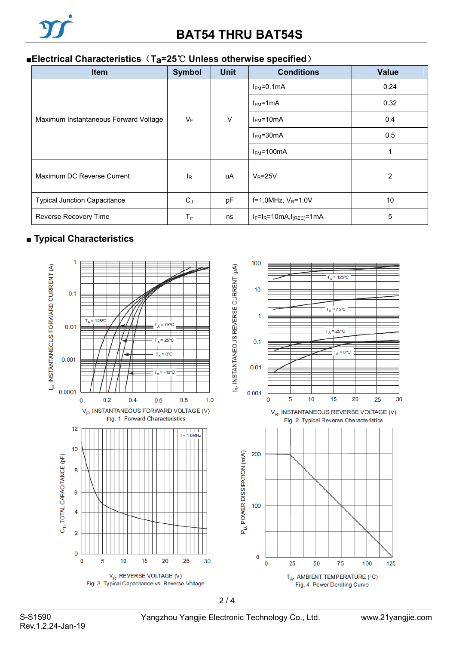

### ■**Electrical Characteristics** (T<sub>a</sub>=25<sup>°</sup>C Unless otherwise specified)

| Item                                  | <b>Symbol</b>  | <b>Unit</b> | <b>Conditions</b>             | <b>Value</b>   |
|---------------------------------------|----------------|-------------|-------------------------------|----------------|
| Maximum Instantaneous Forward Voltage | $V_F$          | $\vee$      | $IFM=0.1mA$                   | 0.24           |
|                                       |                |             | $I_{FM}$ =1mA                 | 0.32           |
|                                       |                |             | $I_{FM}$ =10mA                | 0.4            |
|                                       |                |             | $I_{FM} = 30mA$               | 0.5            |
|                                       |                |             | $I_{FM}$ =100mA               |                |
| Maximum DC Reverse Current            | <sup>I</sup> R | uA          | $V_R = 25V$                   | $\overline{2}$ |
| <b>Typical Junction Capacitance</b>   | $C_J$          | pF          | $f=1.0$ MHz, $V_R=1.0V$       | 10             |
| Reverse Recovery Time                 | $T_{rr}$       | ns          | $I_F=I_R=10mA, I_{(REC)}=1mA$ | 5              |

## ■ **Typical Characteristics**



S-S1590 Yangzhou Yangjie Electronic Technology Co., Ltd.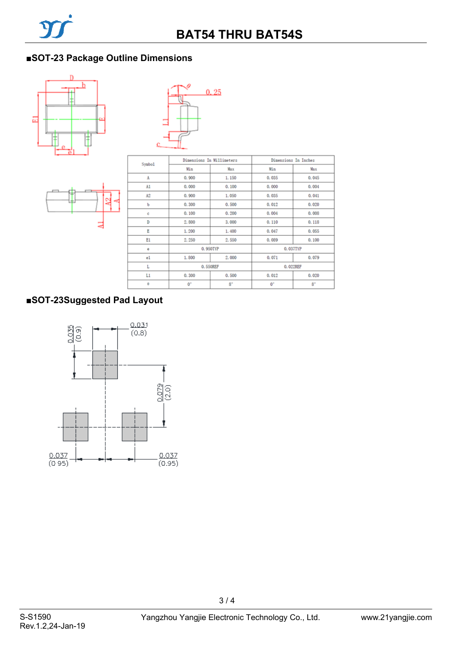# ■**SOT-23 Package Outline Dimensions**







| Symbo1 | Dimensions In Millimeters |             | Dimensions In Inches |             |  |
|--------|---------------------------|-------------|----------------------|-------------|--|
|        | Min                       | Max         | Min                  | Max         |  |
| A      | 0.900                     | 1.150       | 0.035                | 0.045       |  |
| A1     | 0.000                     | 0.100       | 0.000                | 0.004       |  |
| A2     | 0.900                     | 1,050       | 0,035                | 0.041       |  |
| ъ      | 0.300                     | 0.500       | 0.012                | 0.020       |  |
| ċ      | 0.100                     | 0, 200      | 0.004                | 0.008       |  |
| D      | 2.800                     | 3.000       | 0.110                | 0.118       |  |
| Ε      | 1.200                     | 1.400       | 0.047                | 0.055       |  |
| E1     | 2.250                     | 2.550       | 0.089                | 0.100       |  |
| ė      | 0.950TYP                  |             | 0.037TYP             |             |  |
| e1     | 1.800                     | 2.000       | 0.071                | 0.079       |  |
| L      | 0.550REF                  |             | 0.022REF             |             |  |
| L1     | 0.300                     | 0.500       | 0.012                | 0.020       |  |
| ė      | $0^{\circ}$               | $8^{\circ}$ | 0 <sup>o</sup>       | $8^{\circ}$ |  |

# **■SOT-23Suggested Pad Layout**



3 / 4